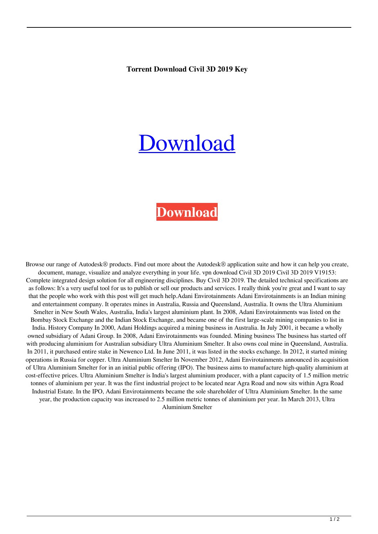## **Torrent Download Civil 3D 2019 Key**

## [Download](http://evacdir.com/conducted/dG9ycmVudCBkb3dubG9hZCBDaXZpbCAzRCAyMDE5IGtleQdG9/perils.jugulare&midwifery=ZG93bmxvYWR8MTFYTW1Jek9YeDhNVFkxTkRNME5EZzROSHg4TWpVNE4zeDhLRTBwSUVobGNtOXJkU0JiUm1GemRDQkhSVTVk)

## **[Download](http://evacdir.com/conducted/dG9ycmVudCBkb3dubG9hZCBDaXZpbCAzRCAyMDE5IGtleQdG9/perils.jugulare&midwifery=ZG93bmxvYWR8MTFYTW1Jek9YeDhNVFkxTkRNME5EZzROSHg4TWpVNE4zeDhLRTBwSUVobGNtOXJkU0JiUm1GemRDQkhSVTVk)**

Browse our range of Autodesk® products. Find out more about the Autodesk® application suite and how it can help you create, document, manage, visualize and analyze everything in your life. vpn download Civil 3D 2019 Civil 3D 2019 V19153: Complete integrated design solution for all engineering disciplines. Buy Civil 3D 2019. The detailed technical specifications are as follows: It's a very useful tool for us to publish or sell our products and services. I really think you're great and I want to say that the people who work with this post will get much help.Adani Envirotainments Adani Envirotainments is an Indian mining and entertainment company. It operates mines in Australia, Russia and Queensland, Australia. It owns the Ultra Aluminium Smelter in New South Wales, Australia, India's largest aluminium plant. In 2008, Adani Envirotainments was listed on the Bombay Stock Exchange and the Indian Stock Exchange, and became one of the first large-scale mining companies to list in India. History Company In 2000, Adani Holdings acquired a mining business in Australia. In July 2001, it became a wholly owned subsidiary of Adani Group. In 2008, Adani Envirotainments was founded. Mining business The business has started off with producing aluminium for Australian subsidiary Ultra Aluminium Smelter. It also owns coal mine in Queensland, Australia. In 2011, it purchased entire stake in Newenco Ltd. In June 2011, it was listed in the stocks exchange. In 2012, it started mining operations in Russia for copper. Ultra Aluminium Smelter In November 2012, Adani Envirotainments announced its acquisition of Ultra Aluminium Smelter for in an initial public offering (IPO). The business aims to manufacture high-quality aluminium at cost-effective prices. Ultra Aluminium Smelter is India's largest aluminium producer, with a plant capacity of 1.5 million metric tonnes of aluminium per year. It was the first industrial project to be located near Agra Road and now sits within Agra Road Industrial Estate. In the IPO, Adani Envirotainments became the sole shareholder of Ultra Aluminium Smelter. In the same year, the production capacity was increased to 2.5 million metric tonnes of aluminium per year. In March 2013, Ultra Aluminium Smelter